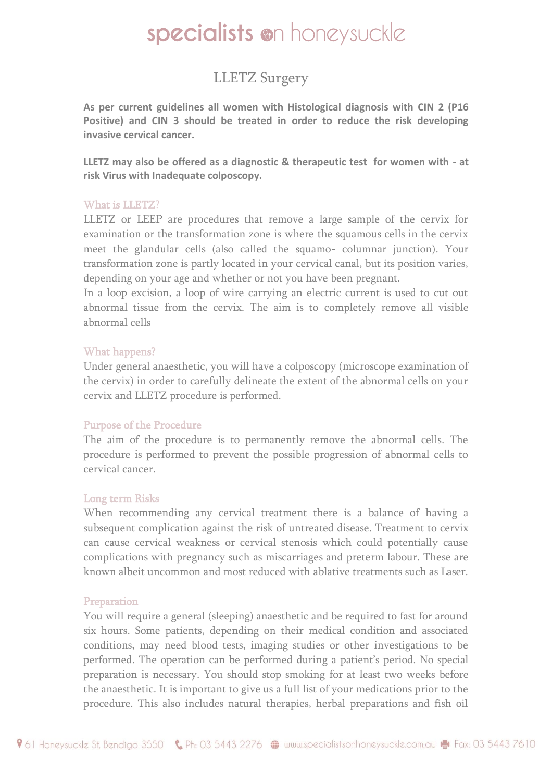# specialists on honeysuckle

# LLETZ Surgery

**As per current guidelines all women with Histological diagnosis with CIN 2 (P16 Positive) and CIN 3 should be treated in order to reduce the risk developing invasive cervical cancer.** 

**LLETZ may also be offered as a diagnostic & therapeutic test for women with - at risk Virus with Inadequate colposcopy.** 

#### What is LLETZ?

LLETZ or LEEP are procedures that remove a large sample of the cervix for examination or the transformation zone is where the squamous cells in the cervix meet the glandular cells (also called the squamo- columnar junction). Your transformation zone is partly located in your cervical canal, but its position varies, depending on your age and whether or not you have been pregnant.

In a loop excision, a loop of wire carrying an electric current is used to cut out abnormal tissue from the cervix. The aim is to completely remove all visible abnormal cells

#### What happens?

Under general anaesthetic, you will have a colposcopy (microscope examination of the cervix) in order to carefully delineate the extent of the abnormal cells on your cervix and LLETZ procedure is performed.

### Purpose of the Procedure

The aim of the procedure is to permanently remove the abnormal cells. The procedure is performed to prevent the possible progression of abnormal cells to cervical cancer.

### Long term Risks

When recommending any cervical treatment there is a balance of having a subsequent complication against the risk of untreated disease. Treatment to cervix can cause cervical weakness or cervical stenosis which could potentially cause complications with pregnancy such as miscarriages and preterm labour. These are known albeit uncommon and most reduced with ablative treatments such as Laser.

### Preparation

You will require a general (sleeping) anaesthetic and be required to fast for around six hours. Some patients, depending on their medical condition and associated conditions, may need blood tests, imaging studies or other investigations to be performed. The operation can be performed during a patient's period. No special preparation is necessary. You should stop smoking for at least two weeks before the anaesthetic. It is important to give us a full list of your medications prior to the procedure. This also includes natural therapies, herbal preparations and fish oil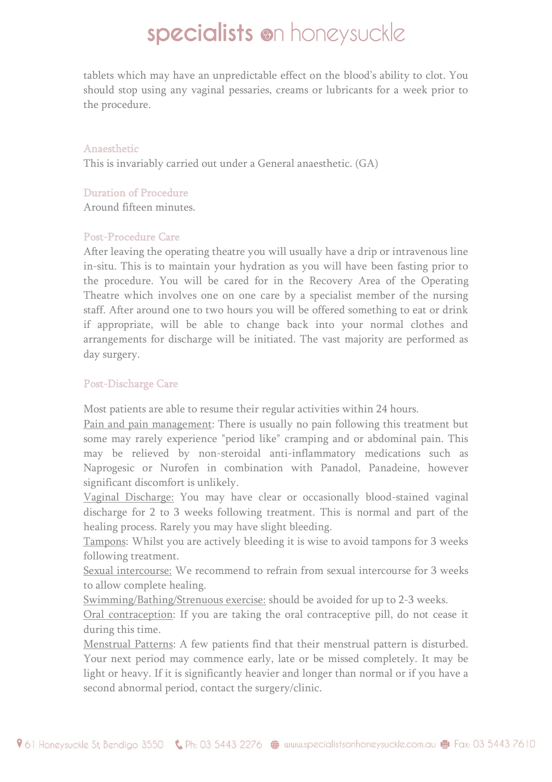# specialists on honeysuckle

tablets which may have an unpredictable effect on the blood's ability to clot. You should stop using any vaginal pessaries, creams or lubricants for a week prior to the procedure.

#### Anaesthetic

This is invariably carried out under a General anaesthetic. (GA)

## Duration of Procedure

Around fifteen minutes.

# Post-Procedure Care

After leaving the operating theatre you will usually have a drip or intravenous line in-situ. This is to maintain your hydration as you will have been fasting prior to the procedure. You will be cared for in the Recovery Area of the Operating Theatre which involves one on one care by a specialist member of the nursing staff. After around one to two hours you will be offered something to eat or drink if appropriate, will be able to change back into your normal clothes and arrangements for discharge will be initiated. The vast majority are performed as day surgery.

# Post-Discharge Care

Most patients are able to resume their regular activities within 24 hours.

Pain and pain management: There is usually no pain following this treatment but some may rarely experience "period like" cramping and or abdominal pain. This may be relieved by non-steroidal anti-inflammatory medications such as Naprogesic or Nurofen in combination with Panadol, Panadeine, however significant discomfort is unlikely.

Vaginal Discharge: You may have clear or occasionally blood-stained vaginal discharge for 2 to 3 weeks following treatment. This is normal and part of the healing process. Rarely you may have slight bleeding.

Tampons: Whilst you are actively bleeding it is wise to avoid tampons for 3 weeks following treatment.

Sexual intercourse: We recommend to refrain from sexual intercourse for 3 weeks to allow complete healing.

Swimming/Bathing/Strenuous exercise: should be avoided for up to 2-3 weeks.

Oral contraception: If you are taking the oral contraceptive pill, do not cease it during this time.

Menstrual Patterns: A few patients find that their menstrual pattern is disturbed. Your next period may commence early, late or be missed completely. It may be light or heavy. If it is significantly heavier and longer than normal or if you have a second abnormal period, contact the surgery/clinic.